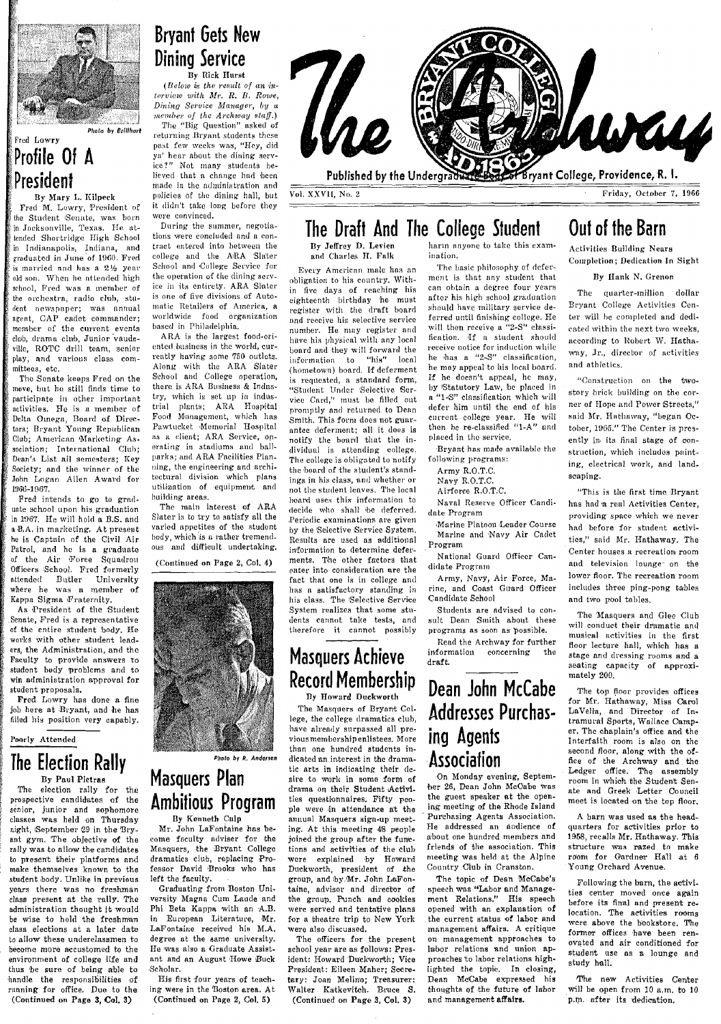

*Plloto* by *Brillhart* 

### Frcd Lowry

President By Mary L. Kilpeck

Profile Of A

Fred M. Lowry, President of the Student Senate, was born in Jacksonville, Texas. He attended Shortridge High School in Indianapolis, Indiana, and<br>graduated in June of 1960. Fred is married and has a 21% year. old son. When he attended high. school, Fred was a member of the orchestra, radio club, student newspaper; was annual agent, CAP cadet commander; member of the current events club, drama club, Junior vaudeville, ROTC drill team, senior play, and various class committees, etc.

The Senate keeps Fred on the move, but he still finds time to participate in other important activities. He is a member of Delta Omega, Board of Direc-<br>tors; Bryant Young Republican Club: American Marketing Association: International Club: Dean's List all semesters: Key Society; and the winner of the John Logan Allen Award for 1966-1967.

Fred intends to go to grnduate school upon his graduation in m67. He will hold a B.S. and  $\n *a* B.A.$  in marketing. At present he is Captain of the Civil Air Patrol, and he is a graduate of the Air Force Squadron Officers Bchool. Fred formerly attended Butler University where he was a member of Kappa Sigma Fraternity.

As President of the Student .Sennte, Fred is a representative of the entire student body. He works with other student leaders, the Administration, and the Faculty to provide answers to student body problems and to win administration approval for student proposals.

Fred Lowry has done a fine job here at Bryant, and he has filled his position very capably.

Poorly Attended

### The Election Rally By Paul Pietras

election rally for the prospective candidates of the senior, junior and sophomore classes was held on Thursday night, September 29 in the Bryant gym. The objective of the rally was to allow the candidates to present their platforms and make themselves known to the student body. Unlike in previous years there Was no freshman dass present at the rally. The administrntion thought It would be wise to hold the freshman class elections at a later date to allow these underclassmen to become more accustomed to the environment of college Hfe and thus 'be sure of being able to handle the responsibilities of running for office. Due to the (Continued on Page 3, Col. 3)

## Bryant Gets New Dining Service By Rick Hurst

*(Below in the result of an in* $t$ ervicw with *Mr. R. B. Rowe*, Dining Service Manager, by a *''''''''''/''''1" of the Areh'II"'Y* R/«jJ.) ':rhe IIBig Question" usked' of

returning Bryant students these past few weeks was, "Hey, did ya' hear about the dining serv-<br>ice?" Not many students be-Not many students believed that a change had been made in the administration and policies of the dining hnll, but it didn't take long before they were convinced.

During the summer, negotia~ tions were concluded and a contract entered into hetween the college and the ARA Slater School and College Service for the operation of the dining service in its entirety. ARA Slater is one of five divisions of Automatic Retailers of America, a worldwide food organization bused in Philadelphia.

 $ARA$  is the largest food-oriented husiness in thc world, currently having some 750 outlets. Along with the ARA Slater School and College operation, there is ARA Business & Industry, which is set up in indus-<br>trial plants: ARA Hospital plants; ARA Hospital Food Management, which has Pawtucket Memorial Hospital as a elient; ARA Service, operating in stadiums and ballparks; and ARA Facilities Planning, the engineering and architectural division which plans utilization of equipment and building areas.

The main interest of ARA Slater is to try to satisfy nil the varied appetites of the student hody, which is a rather tremendous and difficult undertaking,

(Continued on Page 2, Col. 4)



Photo by R. Andersen Masquers Plan Ambitious Program By Kenneth Culp

Mr. John LaFontaine has become faculty adviser for the Masquers, the Bryant College dramatics club, replacing Professor David Brooks who has left the faculty,

Graduating from Boston Uni. versity Magna Cum Laude and Phi Beta Kappa with an A.B. in European Literature, Mr.<br>LaFontaine received his M.A. degree at the same university. He was also a Graduate Assistant and an August Howe Buck Scholnr.

His first four years of teuching were in the Boston area. At (Continued on Page 2, Col. 5)



The Draft And The College Student By Jeffrey D. Levien harin anyone to take this exam-

and Charles H. Falk

Every American male has an obligation to his country. Within five days of reaching his eighteenth birthday he must register with the draft board and receive his selective service number. He may register and<br>have his physical with any local bonrd and they will forward the information to "his" local (hometown) board. If deferment is requested, a standard form, "Student Under 'Selective Service Card," must be filled out promptly and returned to Dean Smith. This form does not guarantee deferment; all it does is notify the board that the individual is attending college. The college is obligated to notify the board of the student's standings in his class, and whether or not the student Icnves. The local board uses this information to decide who shall 'be deferred. Periodic examinations are given by the Selective Service System. Results are used as additional information to determine deferments. The other factors that enter into consideration are the fact that one is in college and has a satisfactory standing in his class. The 'Selective Service System realizes that some students cannot take tests, and therefore it cannot possibly

### Masquers Achieve Record Membership Dy Howard Dnckworth

The Masquers of Bryant College, the college dramatics club, have already surpassed all previous membership enlistees. More than one hundred students iudicated an interest in the dramatic arts in indicating their desire to work in some form of drama on their Student Activities questionnaires. Fifty people were in attendance at the annual Masquers sign-up meeting. At this meeting 48 people joined the group after the func· tions and activities of the club were explained by Howard<br>Duckworth, president of the<br>group, and by.Mr. John LaFontaine, advisor and director of the group. Punch and cookies were served and tentative plans for a theatre trip to New York were also discussed.

The officers for the present school year are as follows: President: Howard 'Duckworth: Vice President: Eileen Maher; Secretary: Joan Melin'o; Treasurer: Walter Katkevitoh. Bruce S. (Continued on Pnge 3, Col. 3)

ination.

The basic philosophy of deferment is that any student that can obtain a degree four years after his high school graduation should have military service deferred until finishing college. He will then receive a "2-S" classification. If a student should receive notice for induction while he  $h$ as  $n \frac{19}{25}$  classification. he may appeal to his local board. If he doesn't appcal, he may, by Statutory Law, be placed in "1-S" classification which will defer him until the end of his cllrrent college year. He will then be re-classified "l-A" and plneed in the service,

Bryant hns made a vailahle the following programs:

Army R.O.T.C.

Navy R.O.T.C. Airforce R.O.T.C.

Naval Reserve Officer Candidate Program

,Marine Platoon Leader Conrse

Marine and Navy Air Cadet Program

National Guard Officer Candidate Program

Army, Navy, Air Force, Marine, and Coast Guard Officer Candidate School

Students are advised to consult Dean Smith about these programs as soon as possible.

Read the Archway for further<br>formation concerning the information concerning draft.

# Dean John McCabe Addresses Purchasing Agents Association<br>On Monday evening, Septem-

'ber 26, Dean John McOabe was the guest spenker at the opening meeting of the Rhode Island . Purchasing Agents Association, He addressed an Audience of about one hundred members and friends of the association, This meeting was held at the Alpine Country Club in Cranston.

The topic of Dean McCabe's speech was "Labor and Manage. ment Relations." His speech opened with an explanation of the current status of labor and manngement affairs. A critique on management approaches to labor relations and union approaches to labor relations highlighted the topic. In closing, Dean McCabe expressed his thoughts of the future of labor and management affairs.

# Out of the Barn

Activities Building Nears Completion; Dedication In Sight

By Hank N. Grenon

The quarter-million dollar Bryant College Activities Center will be completed and dedicated within the next two weeks, according to Robert W. Hathaway, Jr., director of activities and athletics.

H,Construction on the twostory brick building on the corner of Hope and Power Streets." said Mr. Hathaway, "began October, 1965." The Center is presently in its final stage of construction, which includes painting, electrical work, and landscaping.

"This is the first time Bryant has had 'a real Activities Center, providing space which we never had before for student activities," said Mr. Hathaway. The Center houses n recreation room and television lounge on the lower floor. The recreation room includes three ping-pong tables and two pool tables.

The Masquers and Glee Club will conduct their dramatic and musical activities in the first floor lecture hall, which has a stnge and dressing rooms and a seating capacity of approximately 200.

The top floor provides offices for Mr. Hathaway, Miss Carol LaVella, and Director of Intramural Sports, Wallace Oamper, The chaplain's office and the Interfaith room is also on the second floor, along with the office of the Archway and the 'Ledger office. The nssembly room In which the Student Senate and Greek Letter Oouncil meet is located on the top floor.

A barn was used a8 the headquarters for activities prior to 1958, recalls Mr. Hathaway. This structure was razed to make room for Gardner Hall at 6 Young Orchard Avenue.

Following the barn, the activities center moved once again before its final and present relocation. The activities rooms were above the bookstore. The former offices have been renovated and air conditioned for student use as a lounge and study hall.

The new Activities Center will be open from 10 n.m. to 10 p.m. after its dedication,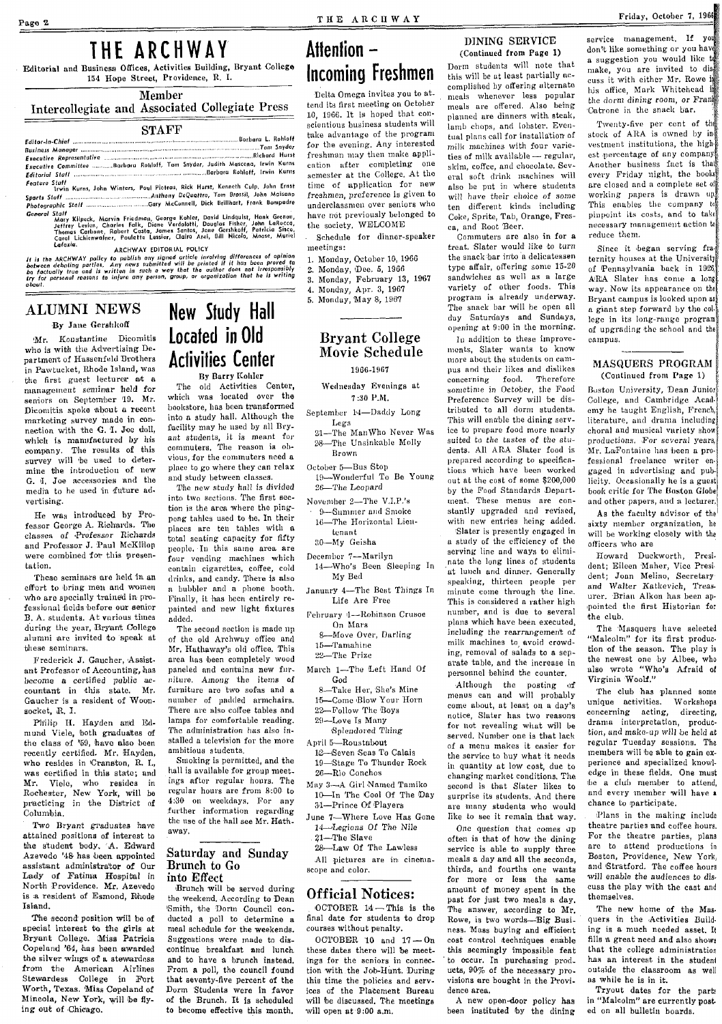# THE ARCHWAY

# Attention  $-$ Incoming Freshmen

Delta Omega invites you to at. tend its first meeting on October 10. 1966. It is hoped that conscientious business students will for the evening, Any interested freshman may then make applithe society. WELCOME

Schedule for dinner-speaker meetings:

- 1. Monday, October 10, 1966
- Monday, Dec. 5, 1966
- 3. Monday, February 13, 1967
- 4. Monday, Apr. 3, 1967

5. Monday, May 8, 1967

### **Brvant College** Movie Schedule

1966-1967

### Wednesday Evenings at  $7:30$  P.M.

- September 14-Daddy Long Legs
- 21-The ManWho Never Was 28-The Unsinkable Molly Brown
- October 5-Bus Stop 19-Wonderful To Be Young
- 26-The Leopard
- November 2-The V.I.P.'s 9-Summer and Smoke 16-The Horizontal Lieutenant
	- 30-My Geisha
- December 7-Marilyn 14-Who's Been Sleeping In
- My Bed January 4-The Best Things In
- Life Are Free Fehruary 4-Robinson Crusoe
- On Mars 8-Move Over, Darling 15-Tamahine
- 22-The Prize
- March 1-The Left Hand Of God
- 8-Take Her, She's Mine
- 15-Come Blow Your Horn 22-Follow The Boys
- 29-Love Is Many
- Splendored Thing
- April 5-Roustabout
- 12-Seven Seas To Calais 19-Stage To Thunder Rock 26-Rio Conchos
- May 3-A Girl Named Tamiko 10-In The Cool Of The Day 31-Prince Of Players
- June 7-Where Love Has Gone 14-Legions Of The Nile 21-The Slave
	- 28-Law Of The Lawless
- All pictures are in cinemascope and color.

### **Official Notices:**

OCTOBER 14-This is the final date for students to drop courses without penalty.

OCTOBER 10 and  $17-$ On these dates there will be meetings for the seniors in connection with the Job-Hunt. During this time the policies and services of the Placement Bureau will be discussed. The meetings will open at 9:00 a.m.

### DINING SERVICE (Continued from Page 1)

Dorm students will note that this will be at least partially accomplished by offering alternate meals whenever less popular meals are offered. Also being planned are dinners with steak, lamb chops, and lobster. Eventual plans call for installation of milk machines with four varieties of milk available - regular, skim, coffee, and chocolate. Several soft drink machines will also be put in where students will have their choice of some ten different kinds including Coke, Sprite, Tab. Orange, Fresca. and Root Beer.

Commuters are also in for a treat. Slater would like to turn the snack bar into a delicatessen type affair, offering some 15-20 sandwiches as well as a large variety of other foods. This program is already underway. The snack bar will be open all day Saturdays and Sundays, opening at 9:00 in the morning.

In addition to these improvements, Slater wants to know more about the students on campus and their likes and dislikes concerning food. Therefore sometime in October, the Food Preference Survey will be distributed to all dorm students. This will enable the dining service to prepare food more nearly suited to the tastes of the students. All ARA Slater food is prepared according to specifications which have been worked out at the cost of some \$200,000 by the Food Standards Department. These menus are constantly upgraded and revised, with new entries heing added. Slater is presently engaged in a study of the efficiency of the serving line and ways to eliminate the long lines of students at lunch and dinner. Generally speaking, thirteen people per minute come through the line. This is considered a rather high number, and is due to several plans which have been executed, including the rearrangement of milk machines to avoid crowding, removal of salads to a separate table, and the increase in personnel behind the counter.

Although the posting of menus can and will probably come about, at least on a day's notice, Slater has two reasons for not revealing what will be served. Number one is that lack of a menu makes it easier for the service to buy what it needs in quantity at low cost, due to changing market conditions. The second is that Slater likes to surprise its students. And there are many students who would like to see it remain that way.

One question that comes up often is that of how the dining service is able to supply three meals a day and all the seconds, thirds, and fourths one wants for more or less the same amount of money spent in the past for just two meals a day. The answer, according to Mr. Rowe, is two words-Big Business. Mass buying and efficient cost control techniques enable this seemingly impossible feat to occur. In purchasing products, 90% of the necessary provisions are bought in the Providence area.

A new open-door policy has been instituted by the dining service management, If you don't like something or you have a suggestion you would like t make, you are invited to discuss it with either Mr. Rowe is his office. Mark Whitehead is the dorm dining room, or Frank Catrone in the snack bar.

Friday, October 7, 1966

Twenty-five per cent of the stock of ARA is owned by investment institutions, the highest percentage of any company. Another business fact is that every Friday night, the books are closed and a complete set of working papers is drawn up. This enables the company to pinpoint its costs, and to take necessary management action to reduce them.

Since it began serving fraternity houses at the University of Pennsylvania back in 1926, A/R/A Slater has come a long way. Now its appearance on the Bryant campus is looked upon as a giant step forward by the college in its long-range program of ungrading the school and the campus.

#### MASQUERS PROGRAM (Continued from Page 1)

Boston University, Dean Junior College, and Cambridge Academy he taught English, French, literature, and drama including choral and musical variety show productions. For several years, Mr. LaFontaine has been a professional freelance writer engaged in advertising and publicity. Occasionally he is a guest book critic for The Baston Globe and other papers, and a lecturer,

As the faculty advisor of the sixty member organization, he will be working closely with the officers who are

Howard Duckworth, President; Eileen Maher, Vice President; Joan Melino, Secretary and Walter Katkevich. Treasurer. Brian Alkon has been appointed the first Historian for the club.

The Masquers have selected "Malcolm" for its first production of the season. The play is the newest one by Albee, who also wrote "Who's Afraid of Virginia Woolf."

The club has planned some unique activities. Workshops concerning acting, directing drama interpretation, production, and make-up will be held at regular Tuesday sessions. The members will be able to gain experience and specialized knowledge in these fields. One must be a club member to attend. and every member will have a chance to participate.

Plans in the making include theatre parties and coffee hours. For the theatre parties, plans are to attend productions in Boston, Providence, New York, and Stratford. The coffee hours will enable the audiences to discuss the play with the cast and themselves.

The new home of the Masquers in the Activities Building is a much needed asset. It fills a great need and also shows that the college administration has an interest in the student outside the classroom as well as while he is in it.

Tryout dates for the parts in "Malcolm" are currently posted on all bulletin boards.

# **ALUMNI NEWS**

Lafazia.

### By Jane Gershkoff

Mr. Konstantine Dicomitis who is with the Advertising Department of Hassenfeld Brothers in Pawtucket, Rhode Island, was the first guest lecturer at a management seminar held for seniors on September 19. Mr. Dicomitis spoke about a recent marketing survey made in connection with the G. I. Joe doll, which is manufactured by his company. The results of this survey will be used to determine the introduction of new G. I. Joe accessories and the media to he used in future advertising.

He was introduced by Professor George A. Richards. The classes of Professor Richards and Professor J. Paul McKillon were combined for this presentation.

These seminars are held in an effort to bring men and women who are specially trained in professional fields before our senior B. A. students. At various times during the year, Bryant College alumni are invited to speak at these seminars.

Frederick J. Gaucher, Assistant Professor of Accounting, has become a certified public accountant in this state. Mr. Gaucher is a resident of Woonsocket, R. I.

Philip H. Hayden and Edmund Viele, both graduates of the class of '59, have also been recently certified. Mr. Hayden, who resides in Cranston, R. L. was certified in this state; and Mr. Viele, who resides in<br>Rochester, New York, will be<br>practicing in the District of Columbia.

Two Bryant graduates have attained positions of interest to the student body, A. Edward Azevedo '48 has been appointed assistant administrator of Our Lady of Fatima Hospital in North Providence. Mr. Azevedo is a resident of Esmond, Rhode Island.

The second position will be of special interest to the girls at Bryant College. Miss Patricia Copeland '64, has been awarded the silver wings of a stewardess from the American Airlines Stewardess College in Fort Worth, Texas. Miss Copeland of Mineola, New York, will be flying out of Chicago.

# **New Study Hall** Located in Old **Activities Center** By Barry Kohler

THE ARCHWAY

Editorial and Business Offices, Activities Building, Bryant College

154 Hope Street, Providence, R. I.

Member

Intercollegiate and Associated Collegiate Press

**STAFF** 

sariar-americana communication de la communication de la communication de la contrata de la contrata de la com<br>Business Manager (manuel communication de la communication de la communication de la communication de la comm<br>E

Executive Committee ............Barbara Rohloff, Tom Snyder, Judith Mascena, Irwin Kurns

The old Activities Center, which was located over the bookstore, has been transformed into a study hall. Although the facility may he used by all Bryant students, it is meant for commuters. The reason is obvious, for the commuters need a place to go where they can relax and study between classes.

The new study hall is divided into two sections. The first section is the area where the pingpong tahles used to he. In their places are ten tables with a total seating capacity for fifty people. In this same area are four vending machines which contain cigarettes, coffee, cold drinks, and candy. There is also a bubbler and a phone booth. Finally, it has been entirely repainted and new light fixtures added.

The second section is made up of the old Archway office and Mr. Hathaway's old office. This area has been completely wood paneled and contains new furniture. Among the items of furniture are two sofas and a number of padded armchairs. There are also coffee tables and lamps for comfortable reading. The administration has also installed a television for the more ambitious students.

Smoking is permitted, and the hall is available for group meetings after regular hours. The regular hours are from 8:00 to 4:30 on weekdays. For any further information regarding the use of the hall see Mr. Hathaway.

### Saturday and Sunday Brunch to Go into Effect

Brunch will be served during the weekend. According to Dean Smith, the Dorm Council conducted a poll to determine a meal schedule for the weekends. Suggestions were made to discontinue breakfast and lunch and to have a brunch instead. From a poll, the council found that seventy-five percent of the Dorm Students were in favor of the Brunch. It is scheduled to become effective this month.

Photographic surface<br>
Connect Staff<br>
Mary Kilpeck, Marvin Friedman, George Køhler, David Lindqulst, Hank Grenon,<br>
Mary Kilpeck, Marvin Friedman, George Køhler, Douglas Fisher, John LaRocca,<br>
Thomas Carbone, Rabert Costa, J ARCHWAY EDITORIAL POLICY<br>between debating parties, Any range of any signed article involving differences of opinion<br>be factually true and is written new submitted will be printed if it has been proved to<br>be factually true  $\overline{2}$ 

Borbara L. Robloff

take advantage of the program eation after completing one semester at the College. At the time of upplication for new freshmen, preference is given to underclassmen over seniors who have not previously belonged to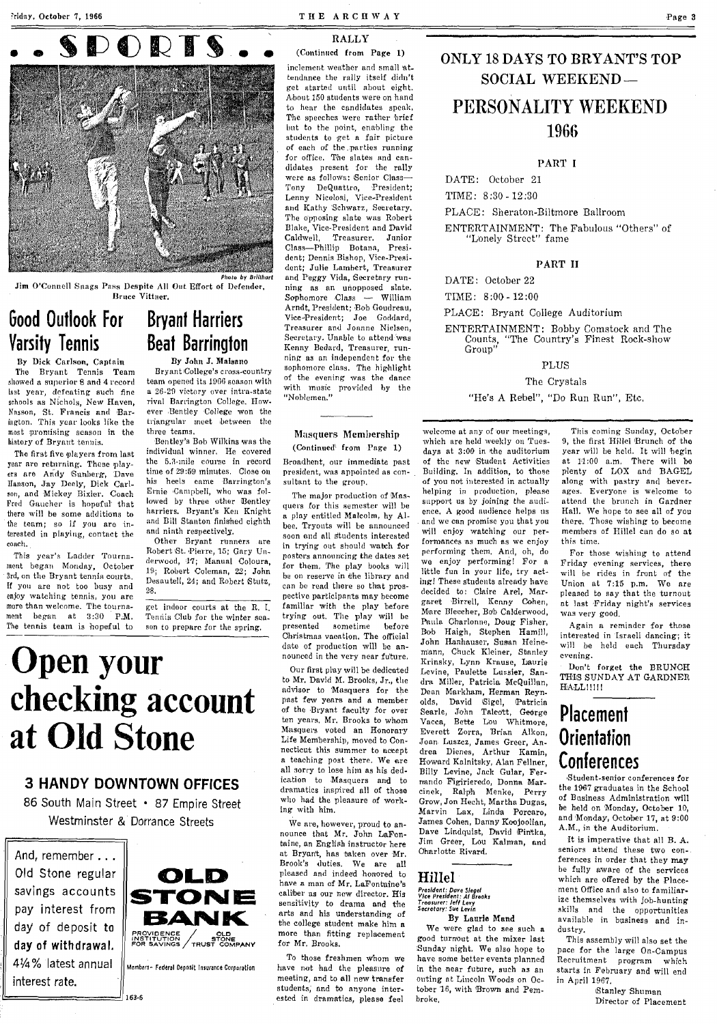

Photo by Brillhart

Jim O'Connell Snags Pass Despite All Out Effort of Defender, Bruce Vittner.

Good Outlook For **Varsity Tennis** 

By Dick Carlson, Captain The Bryant Tennis Team showed a superior 8 and 4 record lust year, defeating such fine schools as Nfchols, New Haven, Nasson, St. Francis and Bar-<br>ington. This year looks like the most promising season in the history of Bryant tenuis.

The first five players from last year are returning. These players are Andy Sunberg, Dave Hanson, Jay Deely, Dick Carlson, and Mickey Bixler. Coach<br>Fred Gaucher is hopeful that there will be some additions to the team; so if you are interested in pinying, contact the coach.

This year's Ladder Tournament began Monday, October 3rd, on the Bryant tennis courts. If you are not too busy and enjoy watching tennis, you are more than welcome. The tournament began at 3:30 P.M. The tennis team is hopeful to

### Bryant Harriers Beat Barrington By John J. Malsano

Bryant College's cross-country team opened its 1966 season with a 26-29 victory over intra-state rival Barrington College. However Bentley College won the triangular meet between the three teams.

Bentley's Bob Wilkins was the individual winner. He covered the 5.3-mile course in record time of 29:59 minutes. Close on his heels cnme Bnrrington's Ernie 'Campbell, who was followed by three other Bentley harriers. Bryant's Ken Knight and Bill Stanton finished eighth and ninth respectively.

Other Bryant runners are Robert St. Pierre, 15; Gary Underwood, 17; Manual Coloura, 19; Robert Coleman, 22; John Desautell, 24; and Robert Stutz, 2:8.

get indoor courts at the R. I. Tennis Club for the winter season to prepare for the spring.

#### THE ARCHWAY

### RALI,Y

(Continued from Page 1)

inclement weather and small attendance the rally itself didn't get started until about eight. About 150 students were on hand to hear the candidates speak, The speeches were rather brief but to the point, enabling the students to get a fair picture of each af the .,parties running for office. T'he slates and candidates present for the rally were as follows: 'Senior Class-Tony DeQuatlro, 'President; Lenny Nicolosi, Vice-President and Kathy Schwarz, Secretary. The opposing slate was Robert Blake, Vice-President and David<br>Caldwell, Treasurer. Junior Treasurer. Junior Class-Phillip Botana, President; Dennis Bishop, Vice-President; Julie Lambert, Treasurer and Peggy Vida, Secretary running as nn unopposed slnte. Sophomore Class - William Arndt, President; ·Bob Goudreau, Vice-President; Joe Goddard,<br>Treasurer and Joanne Nielsen, Secretary. Unable to attend was Kenny Bedard, Treasurer, running as an independent for the sophomore class. The highlight of the evening was the dance with music provided hy the "Noblemen."

#### Masquers Membership (Continued\ from Page 1)

Broadhent, our immediate past president, was appointed as consulbant to the group.

The major production of Masquers for this semester will be a play entitled Mnlcolm, hy Albee. Tryouts will be announced soon and all students interested in trying out should watch for posters announcing the dates set for them. The play books will be on reserve in the library and can be read there so that prospective participants may become familiar with the play before trying out. The play will be presented sometime before Christmas vacation. The official date of production will be announced in the very near fu'ture.

Our first play will be dedicated to Mr. David M. Brooks, Jr., the advisor to Masquers for the past few years and a member of the Bryant faculty for over ten years. Mr. Brooks to whom Masquers voted an Honorary Life Membership, moved to Connecticut this summer to accept a teaching post there. We are all sorry to lose him as his dedication to Masquers and to dramatics inspired all of those who had the pleasure of working with him.

We are, however, proud to announce that Mr. John LaFonbuine, an English instructOr here at Bryant, has taken over Mr. Brook's duties. We are all pleased and indeed honored to have a man of Mr. LaFontaine's caliber as our new director. His sensitivity to drama and the arts and his understanding of the college student make him a more than fitting replacement for Mr. Brooks.

To those freshmen Whom *we* have not had the pleasure of meeting, and to all new transfer students; and to anyone interested in dramatics, please feel

## ONLY 18 DAYS TO BRYANT'S TOP SOCIAL WEEREND-

Page 3

# PERSONALITY WEEKEND 1966

#### PART I

DATE: October 21

TIME: 8 :30 - 12 :30

PLACE: Sheraton-Biltmore Ballroom

ENTERTAINMENT: The Fabulous "Others" of "Lonely Street" fame

#### PART II

DATE: October 22

TIME: 8 :00 - 12 :00

PLACE: Bryant College Auditorium

ENTERTAINMENT: Bobby Comstock and The "The Country's Finest Rock-show Counts,<br>Group"

### **PLUS**

The Crystals

"He's A Rebel", "Do Run Run", Etc.

welcome at any of our meetings, which are held weekly on Tuesdays at 3:00 in the auditorium of the new Student Activities Building. In addition, to those of you not interested in actually helping in production, please support us by joining the audience. A good nudience helps us and we can promise you that you will enjoy watching our performances as much as we enjoy performing them. And, oh, do we enjoy performing! For a little fun in your life, try actingl These stndents already have decided to: Claire Arel, Margaret Birrell, Kenny Cohen, Marc Bleecher, Bob Calderwood, Paula Charlonne, Doug Fisher, Bob Haigh, Stephen Hamill, John Hanhauser, Susan Heinem'ann, Chuck Kleiner, Stanley Krinsky, Lynn Krause, Laurie Levine, Paulette Lussier, Sandra Miller, Patricia McQuillan, Dean Markham, Henman Reyn-<br>olds, David Sigel, Patricia Sigel, Patricia Searle, John Talcott, George Vacca, Bette Lou Whitmore, Everett Zorra, Brian Alkon, Joan Luszcz, James Greer, Andrea Dienes, Arthur Kamin, Howard Kalnitsky, Alan Fellner, Billy Levine, Jack Gular, Fernando Figirieredo, Donna Marcinek, Ralph Menke, Perry Grow, Jon Hecht, Martha Dugas, Marvin Lax, Linda Porcaro,<br>James Cohen, Danny Koojoolian, Dave Lindquist, David Pintka, Jim Greer, Lou Kalman, and Oharlotte Rivard.

Hillel

# *President: Dave Siegel<br>Vice President: AI Brooks<br>Treasurer: Jeff Levy<br>Secrotary: Sue Levin*

#### By Laurie Mand

We were glad to see such n good turnout at the mixer last Sunday night. We also hope to have some better events planned in the near future, such as an outing at Lincoln Woods on October 16, with Brown and Pembroke.

This coming Sunday, October 9, the first Hillel Brunch of the year will be held. It will begin at 11:00 a.m. There will be plenty of LOX and BAGEL along with pastry and bever\_ nges. Everyone is welcome to attend the brunch in Gardner Hall. We hope to see all of you there. Those wishing to become members of Hillel cun do so at this time.

For those wishing to attend Friday evening services, thero wiIJ be rides in front of the Union at 7:15 p.m. We are pleased to say that the turnout at last Friday night's services was very good.

Again a reminder for those interested in Israeli dancing; it wil! be held euch Thursday evening.

Don't forget the BRUNCH THIS SUNDAY AT GARDNER HALL!!!!

# Placement **Orientation** Conferences

Student-senior conferences for the 1967 graduates in the School of Business Administration will be held on 'Monday, October 10, and 'Monday, October 17, at 9:00 A.M., in the Auditorium.

It is imperative that all B. A. seniors attend these two conferences in order that they may be fully aware of the services whieh are offered by the Placement Office and also to familiarize themselves with job-hunting skills and the opportunities available in business and industry.

This assembly wiJI also set the puce for the large On-Campus Recruitment program which starts in February and will end in April 1967.

,Stanley Shuman Director of Placement

**Open your checking account at Old Stone** 

### 3 HANDY DOWNTOWN OFFICES

86 South Main Street • 87 Empire Street Westminster & Dorrance Streets

And, remember ... Old Stone regular savings accounts pay interest from day of deposit to day of withdrawal. 41/4% latest annual interest rate.  $\frac{1}{163-6}$